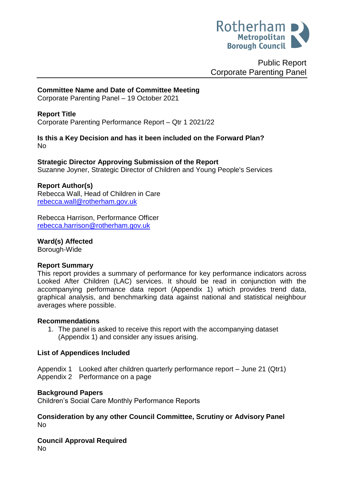

Public Report Corporate Parenting Panel

# **Committee Name and Date of Committee Meeting**

Corporate Parenting Panel – 19 October 2021

# **Report Title**

<span id="page-0-0"></span>Corporate Parenting Performance Report – Qtr 1 2021/22

#### **Is this a Key Decision and has it been included on the Forward Plan?**  No

## **Strategic Director Approving Submission of the Report**

Suzanne Joyner, Strategic Director of Children and Young People's Services

#### **Report Author(s)**

Rebecca Wall, Head of Children in Care [rebecca.wall@rotherham.gov.uk](mailto:rebecca.wall@rotherham.gov.uk)

Rebecca Harrison, Performance Officer [rebecca.harrison@rotherham.gov.uk](mailto:rebecca.harrison@rotherham.gov.uk)

**Ward(s) Affected** Borough-Wide

#### **Report Summary**

This report provides a summary of performance for key performance indicators across Looked After Children (LAC) services. It should be read in conjunction with the accompanying performance data report (Appendix 1) which provides trend data, graphical analysis, and benchmarking data against national and statistical neighbour averages where possible.

#### **Recommendations**

1. The panel is asked to receive this report with the accompanying dataset (Appendix 1) and consider any issues arising.

## **List of Appendices Included**

Appendix 1 Looked after children quarterly performance report – June 21 (Qtr1) Appendix 2 Performance on a page

#### **Background Papers**

Children's Social Care Monthly Performance Reports

**Consideration by any other Council Committee, Scrutiny or Advisory Panel** No

**Council Approval Required** No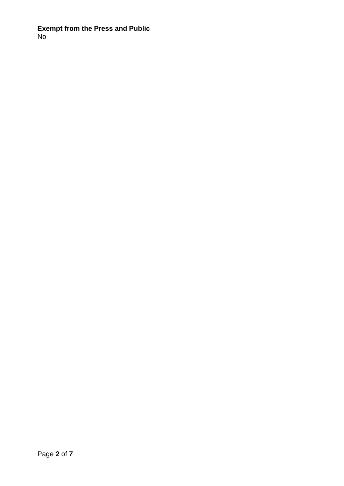**Exempt from the Press and Public** No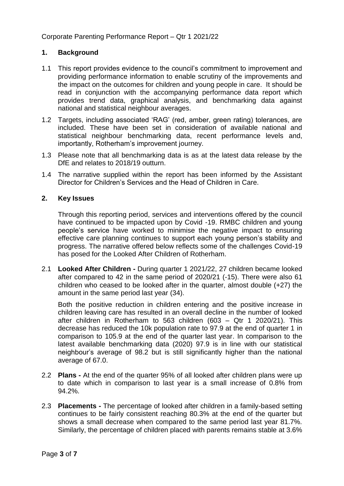# **1. Background**

- 1.1 This report provides evidence to the council's commitment to improvement and providing performance information to enable scrutiny of the improvements and the impact on the outcomes for children and young people in care. It should be read in conjunction with the accompanying performance data report which provides trend data, graphical analysis, and benchmarking data against national and statistical neighbour averages.
- 1.2 Targets, including associated 'RAG' (red, amber, green rating) tolerances, are included. These have been set in consideration of available national and statistical neighbour benchmarking data, recent performance levels and, importantly, Rotherham's improvement journey.
- 1.3 Please note that all benchmarking data is as at the latest data release by the DfE and relates to 2018/19 outturn.
- 1.4 The narrative supplied within the report has been informed by the Assistant Director for Children's Services and the Head of Children in Care.

# **2. Key Issues**

Through this reporting period, services and interventions offered by the council have continued to be impacted upon by Covid -19. RMBC children and young people's service have worked to minimise the negative impact to ensuring effective care planning continues to support each young person's stability and progress. The narrative offered below reflects some of the challenges Covid-19 has posed for the Looked After Children of Rotherham.

2.1 **Looked After Children -** During quarter 1 2021/22, 27 children became looked after compared to 42 in the same period of 2020/21 (-15). There were also 61 children who ceased to be looked after in the quarter, almost double (+27) the amount in the same period last year (34).

Both the positive reduction in children entering and the positive increase in children leaving care has resulted in an overall decline in the number of looked after children in Rotherham to 563 children (603 – Qtr 1 2020/21). This decrease has reduced the 10k population rate to 97.9 at the end of quarter 1 in comparison to 105.9 at the end of the quarter last year. In comparison to the latest available benchmarking data (2020) 97.9 is in line with our statistical neighbour's average of 98.2 but is still significantly higher than the national average of 67.0.

- 2.2 **Plans -** At the end of the quarter 95% of all looked after children plans were up to date which in comparison to last year is a small increase of 0.8% from 94.2%.
- 2.3 **Placements -** The percentage of looked after children in a family-based setting continues to be fairly consistent reaching 80.3% at the end of the quarter but shows a small decrease when compared to the same period last year 81.7%. Similarly, the percentage of children placed with parents remains stable at 3.6%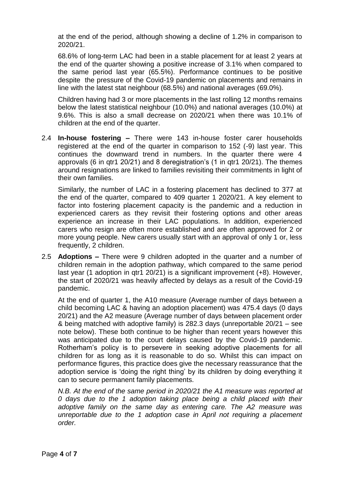at the end of the period, although showing a decline of 1.2% in comparison to 2020/21.

68.6% of long-term LAC had been in a stable placement for at least 2 years at the end of the quarter showing a positive increase of 3.1% when compared to the same period last year (65.5%). Performance continues to be positive despite the pressure of the Covid-19 pandemic on placements and remains in line with the latest stat neighbour (68.5%) and national averages (69.0%).

Children having had 3 or more placements in the last rolling 12 months remains below the latest statistical neighbour (10.0%) and national averages (10.0%) at 9.6%. This is also a small decrease on 2020/21 when there was 10.1% of children at the end of the quarter.

2.4 **In-house fostering –** There were 143 in-house foster carer households registered at the end of the quarter in comparison to 152 (-9) last year. This continues the downward trend in numbers. In the quarter there were 4 approvals (6 in qtr1 20/21) and 8 deregistration's (1 in qtr1 20/21). The themes around resignations are linked to families revisiting their commitments in light of their own families.

Similarly, the number of LAC in a fostering placement has declined to 377 at the end of the quarter, compared to 409 quarter 1 2020/21. A key element to factor into fostering placement capacity is the pandemic and a reduction in experienced carers as they revisit their fostering options and other areas experience an increase in their LAC populations. In addition, experienced carers who resign are often more established and are often approved for 2 or more young people. New carers usually start with an approval of only 1 or, less frequently, 2 children.

2.5 **Adoptions –** There were 9 children adopted in the quarter and a number of children remain in the adoption pathway, which compared to the same period last year (1 adoption in qtr1 20/21) is a significant improvement (+8). However, the start of 2020/21 was heavily affected by delays as a result of the Covid-19 pandemic.

At the end of quarter 1, the A10 measure (Average number of days between a child becoming LAC & having an adoption placement) was 475.4 days (0 days 20/21) and the A2 measure (Average number of days between placement order & being matched with adoptive family) is 282.3 days (unreportable 20/21 – see note below). These both continue to be higher than recent years however this was anticipated due to the court delays caused by the Covid-19 pandemic. Rotherham's policy is to persevere in seeking adoptive placements for all children for as long as it is reasonable to do so. Whilst this can impact on performance figures, this practice does give the necessary reassurance that the adoption service is 'doing the right thing' by its children by doing everything it can to secure permanent family placements.

*N.B. At the end of the same period in 2020/21 the A1 measure was reported at 0 days due to the 1 adoption taking place being a child placed with their adoptive family on the same day as entering care. The A2 measure was unreportable due to the 1 adoption case in April not requiring a placement order.*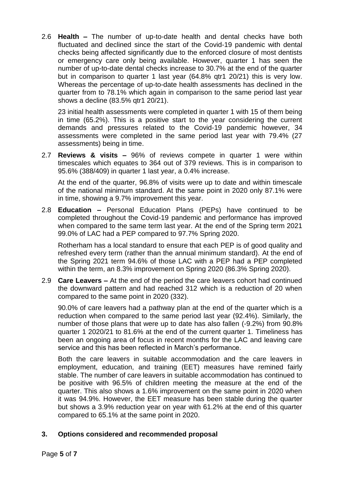2.6 **Health –** The number of up-to-date health and dental checks have both fluctuated and declined since the start of the Covid-19 pandemic with dental checks being affected significantly due to the enforced closure of most dentists or emergency care only being available. However, quarter 1 has seen the number of up-to-date dental checks increase to 30.7% at the end of the quarter but in comparison to quarter 1 last year (64.8% qtr1 20/21) this is very low. Whereas the percentage of up-to-date health assessments has declined in the quarter from to 78.1% which again in comparison to the same period last year shows a decline (83.5% qtr1 20/21).

23 initial health assessments were completed in quarter 1 with 15 of them being in time (65.2%). This is a positive start to the year considering the current demands and pressures related to the Covid-19 pandemic however, 34 assessments were completed in the same period last year with 79.4% (27 assessments) being in time.

2.7 **Reviews & visits –** 96% of reviews compete in quarter 1 were within timescales which equates to 364 out of 379 reviews. This is in comparison to 95.6% (388/409) in quarter 1 last year, a 0.4% increase.

At the end of the quarter, 96.8% of visits were up to date and within timescale of the national minimum standard. At the same point in 2020 only 87.1% were in time, showing a 9.7% improvement this year.

2.8 **Education –** Personal Education Plans (PEPs) have continued to be completed throughout the Covid-19 pandemic and performance has improved when compared to the same term last year. At the end of the Spring term 2021 99.0% of LAC had a PEP compared to 97.7% Spring 2020.

Rotherham has a local standard to ensure that each PEP is of good quality and refreshed every term (rather than the annual minimum standard). At the end of the Spring 2021 term 94.6% of those LAC with a PEP had a PEP completed within the term, an 8.3% improvement on Spring 2020 (86.3% Spring 2020).

2.9 **Care Leavers –** At the end of the period the care leavers cohort had continued the downward pattern and had reached 312 which is a reduction of 20 when compared to the same point in 2020 (332).

90.0% of care leavers had a pathway plan at the end of the quarter which is a reduction when compared to the same period last year (92.4%). Similarly, the number of those plans that were up to date has also fallen (-9.2%) from 90.8% quarter 1 2020/21 to 81.6% at the end of the current quarter 1. Timeliness has been an ongoing area of focus in recent months for the LAC and leaving care service and this has been reflected in March's performance.

Both the care leavers in suitable accommodation and the care leavers in employment, education, and training (EET) measures have remined fairly stable. The number of care leavers in suitable accommodation has continued to be positive with 96.5% of children meeting the measure at the end of the quarter. This also shows a 1.6% improvement on the same point in 2020 when it was 94.9%. However, the EET measure has been stable during the quarter but shows a 3.9% reduction year on year with 61.2% at the end of this quarter compared to 65.1% at the same point in 2020.

# **3. Options considered and recommended proposal**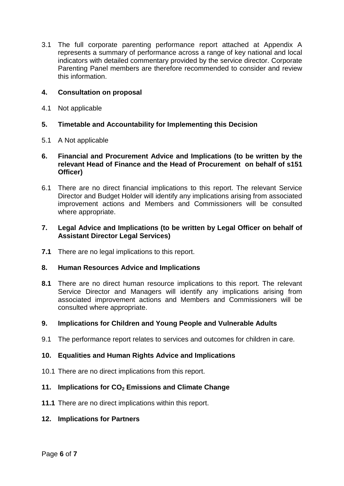3.1 The full corporate parenting performance report attached at Appendix A represents a summary of performance across a range of key national and local indicators with detailed commentary provided by the service director. Corporate Parenting Panel members are therefore recommended to consider and review this information.

# **4. Consultation on proposal**

4.1 Not applicable

# **5. Timetable and Accountability for Implementing this Decision**

5.1 A Not applicable

## **6. Financial and Procurement Advice and Implications (to be written by the relevant Head of Finance and the Head of Procurement on behalf of s151 Officer)**

6.1 There are no direct financial implications to this report. The relevant Service Director and Budget Holder will identify any implications arising from associated improvement actions and Members and Commissioners will be consulted where appropriate.

# **7. Legal Advice and Implications (to be written by Legal Officer on behalf of Assistant Director Legal Services)**

**7.1** There are no legal implications to this report.

## **8. Human Resources Advice and Implications**

**8.1** There are no direct human resource implications to this report. The relevant Service Director and Managers will identify any implications arising from associated improvement actions and Members and Commissioners will be consulted where appropriate.

## **9. Implications for Children and Young People and Vulnerable Adults**

9.1 The performance report relates to services and outcomes for children in care.

## **10. Equalities and Human Rights Advice and Implications**

10.1 There are no direct implications from this report.

## **11. Implications for CO<sup>2</sup> Emissions and Climate Change**

**11.1** There are no direct implications within this report.

## **12. Implications for Partners**